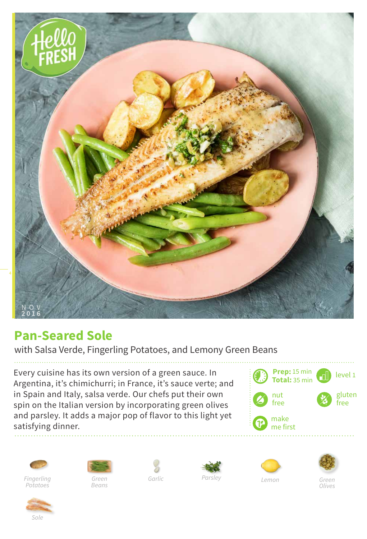

## **Pan-Seared Sole**

with Salsa Verde, Fingerling Potatoes, and Lemony Green Beans

Every cuisine has its own version of a green sauce. In Argentina, it's chimichurri; in France, it's sauce verte; and in Spain and Italy, salsa verde. Our chefs put their own spin on the Italian version by incorporating green olives and parsley. It adds a major pop of flavor to this light yet satisfying dinner.







*Beans*









*Olives*

*Sole*